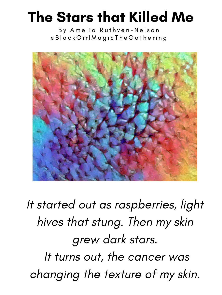## The Stars that Killed Me

## It started out as raspberries, light hives that stung. Then my skin grew dark stars. It turns out, the cancer was changing the texture of my skin.

By Amelia Ruthven-Nelson @ B l a c k G i r l M a g i c T h e G a t h e r i n g